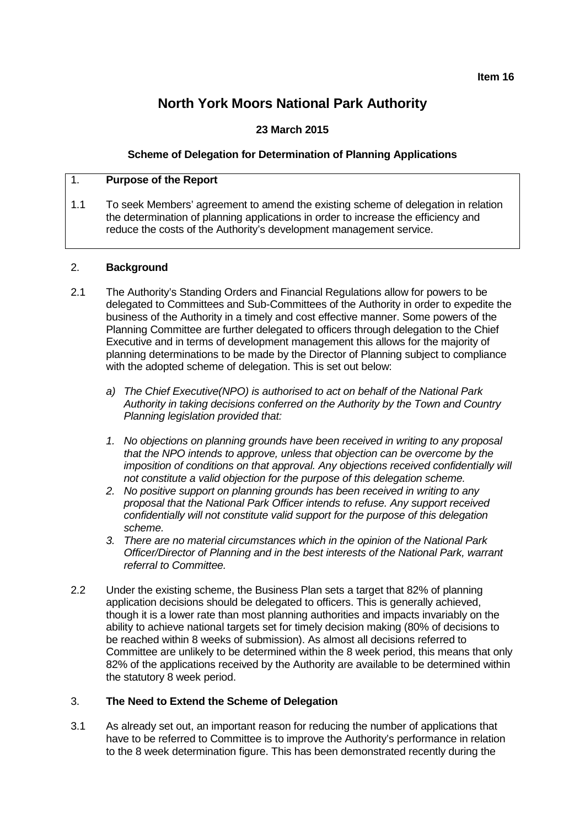# **North York Moors National Park Authority**

# **23 March 2015**

### **Scheme of Delegation for Determination of Planning Applications**

## 1. **Purpose of the Report**

1.1 To seek Members' agreement to amend the existing scheme of delegation in relation the determination of planning applications in order to increase the efficiency and reduce the costs of the Authority's development management service.

#### 2. **Background**

- 2.1 The Authority's Standing Orders and Financial Regulations allow for powers to be delegated to Committees and Sub-Committees of the Authority in order to expedite the business of the Authority in a timely and cost effective manner. Some powers of the Planning Committee are further delegated to officers through delegation to the Chief Executive and in terms of development management this allows for the majority of planning determinations to be made by the Director of Planning subject to compliance with the adopted scheme of delegation. This is set out below:
	- *a) The Chief Executive(NPO) is authorised to act on behalf of the National Park Authority in taking decisions conferred on the Authority by the Town and Country Planning legislation provided that:*
	- *1. No objections on planning grounds have been received in writing to any proposal that the NPO intends to approve, unless that objection can be overcome by the imposition of conditions on that approval. Any objections received confidentially will not constitute a valid objection for the purpose of this delegation scheme.*
	- *2. No positive support on planning grounds has been received in writing to any proposal that the National Park Officer intends to refuse. Any support received confidentially will not constitute valid support for the purpose of this delegation scheme.*
	- *3. There are no material circumstances which in the opinion of the National Park Officer/Director of Planning and in the best interests of the National Park, warrant referral to Committee.*
- 2.2 Under the existing scheme, the Business Plan sets a target that 82% of planning application decisions should be delegated to officers. This is generally achieved, though it is a lower rate than most planning authorities and impacts invariably on the ability to achieve national targets set for timely decision making (80% of decisions to be reached within 8 weeks of submission). As almost all decisions referred to Committee are unlikely to be determined within the 8 week period, this means that only 82% of the applications received by the Authority are available to be determined within the statutory 8 week period.

#### 3. **The Need to Extend the Scheme of Delegation**

3.1 As already set out, an important reason for reducing the number of applications that have to be referred to Committee is to improve the Authority's performance in relation to the 8 week determination figure. This has been demonstrated recently during the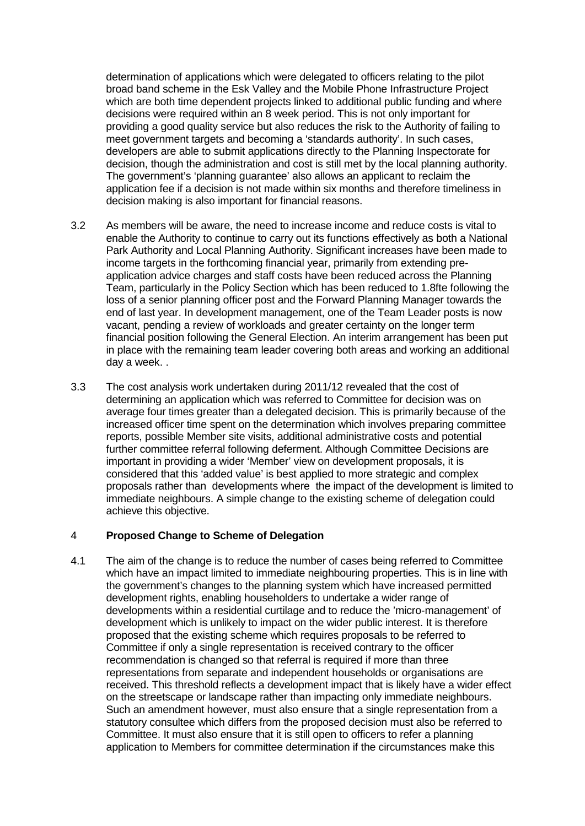determination of applications which were delegated to officers relating to the pilot broad band scheme in the Esk Valley and the Mobile Phone Infrastructure Project which are both time dependent projects linked to additional public funding and where decisions were required within an 8 week period. This is not only important for providing a good quality service but also reduces the risk to the Authority of failing to meet government targets and becoming a 'standards authority'. In such cases, developers are able to submit applications directly to the Planning Inspectorate for decision, though the administration and cost is still met by the local planning authority. The government's 'planning guarantee' also allows an applicant to reclaim the application fee if a decision is not made within six months and therefore timeliness in decision making is also important for financial reasons.

- 3.2 As members will be aware, the need to increase income and reduce costs is vital to enable the Authority to continue to carry out its functions effectively as both a National Park Authority and Local Planning Authority. Significant increases have been made to income targets in the forthcoming financial year, primarily from extending preapplication advice charges and staff costs have been reduced across the Planning Team, particularly in the Policy Section which has been reduced to 1.8fte following the loss of a senior planning officer post and the Forward Planning Manager towards the end of last year. In development management, one of the Team Leader posts is now vacant, pending a review of workloads and greater certainty on the longer term financial position following the General Election. An interim arrangement has been put in place with the remaining team leader covering both areas and working an additional day a week. .
- 3.3 The cost analysis work undertaken during 2011/12 revealed that the cost of determining an application which was referred to Committee for decision was on average four times greater than a delegated decision. This is primarily because of the increased officer time spent on the determination which involves preparing committee reports, possible Member site visits, additional administrative costs and potential further committee referral following deferment. Although Committee Decisions are important in providing a wider 'Member' view on development proposals, it is considered that this 'added value' is best applied to more strategic and complex proposals rather than developments where the impact of the development is limited to immediate neighbours. A simple change to the existing scheme of delegation could achieve this objective.

#### 4 **Proposed Change to Scheme of Delegation**

4.1 The aim of the change is to reduce the number of cases being referred to Committee which have an impact limited to immediate neighbouring properties. This is in line with the government's changes to the planning system which have increased permitted development rights, enabling householders to undertake a wider range of developments within a residential curtilage and to reduce the 'micro-management' of development which is unlikely to impact on the wider public interest. It is therefore proposed that the existing scheme which requires proposals to be referred to Committee if only a single representation is received contrary to the officer recommendation is changed so that referral is required if more than three representations from separate and independent households or organisations are received. This threshold reflects a development impact that is likely have a wider effect on the streetscape or landscape rather than impacting only immediate neighbours. Such an amendment however, must also ensure that a single representation from a statutory consultee which differs from the proposed decision must also be referred to Committee. It must also ensure that it is still open to officers to refer a planning application to Members for committee determination if the circumstances make this